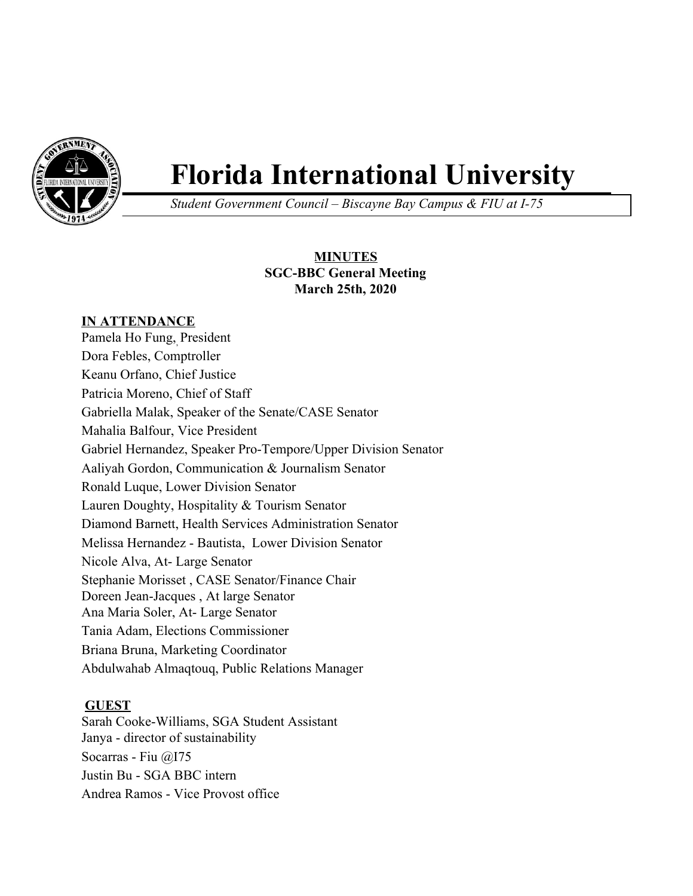

# **Florida International University**

*Student Government Council – Biscayne Bay Campus & FIU at I-75*

# **MINUTES SGC-BBC General Meeting March 25th, 2020**

## **IN ATTENDANCE**

Pamela Ho Fung, , President Dora Febles, Comptroller Keanu Orfano, Chief Justice Patricia Moreno, Chief of Staff Gabriella Malak, Speaker of the Senate/CASE Senator Mahalia Balfour, Vice President Gabriel Hernandez, Speaker Pro-Tempore/Upper Division Senator Aaliyah Gordon, Communication & Journalism Senator Ronald Luque, Lower Division Senator Lauren Doughty, Hospitality & Tourism Senator Diamond Barnett, Health Services Administration Senator Melissa Hernandez - Bautista, Lower Division Senator Nicole Alva, At- Large Senator Stephanie Morisset , CASE Senator/Finance Chair Doreen Jean-Jacques , At large Senator Ana Maria Soler, At- Large Senator Tania Adam, Elections Commissioner Briana Bruna, Marketing Coordinator Abdulwahab Almaqtouq, Public Relations Manager

## **GUEST**

Sarah Cooke-Williams, SGA Student Assistant Janya - director of sustainability Socarras - Fiu @I75 Justin Bu - SGA BBC intern Andrea Ramos - Vice Provost office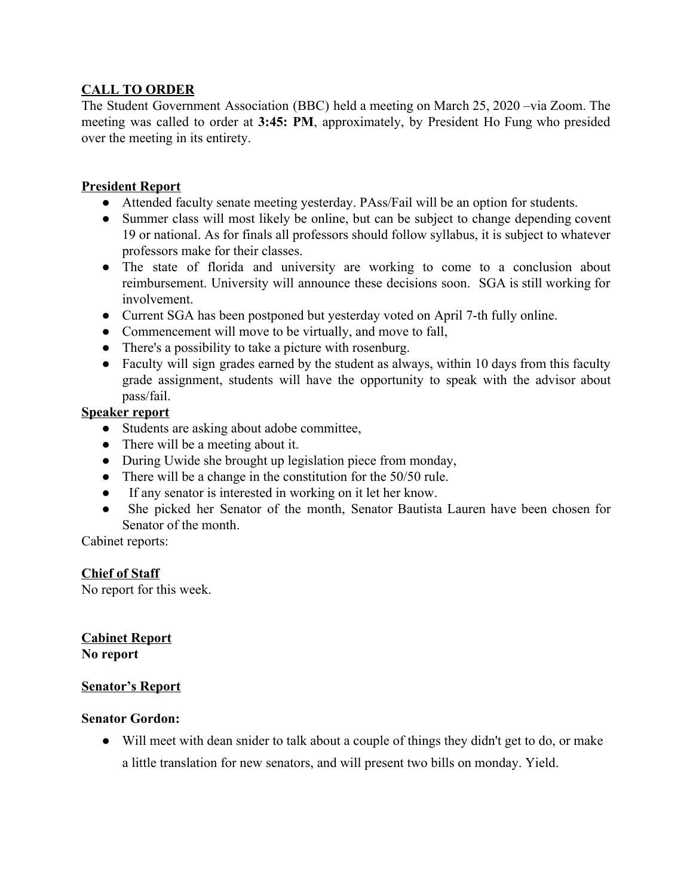## **CALL TO ORDER**

The Student Government Association (BBC) held a meeting on March 25, 2020 –via Zoom. The meeting was called to order at **3:45: PM**, approximately, by President Ho Fung who presided over the meeting in its entirety.

## **President Report**

- Attended faculty senate meeting yesterday. PAss/Fail will be an option for students.
- Summer class will most likely be online, but can be subject to change depending covent 19 or national. As for finals all professors should follow syllabus, it is subject to whatever professors make for their classes.
- The state of florida and university are working to come to a conclusion about reimbursement. University will announce these decisions soon. SGA is still working for involvement.
- Current SGA has been postponed but yesterday voted on April 7-th fully online.
- Commencement will move to be virtually, and move to fall,
- There's a possibility to take a picture with rosenburg.
- Faculty will sign grades earned by the student as always, within 10 days from this faculty grade assignment, students will have the opportunity to speak with the advisor about pass/fail.

#### **Speaker report**

- Students are asking about adobe committee,
- There will be a meeting about it.
- During Uwide she brought up legislation piece from monday,
- There will be a change in the constitution for the 50/50 rule.
- If any senator is interested in working on it let her know.
- She picked her Senator of the month, Senator Bautista Lauren have been chosen for Senator of the month.

Cabinet reports:

## **Chief of Staff**

No report for this week.

**Cabinet Report No report**

#### **Senator's Report**

#### **Senator Gordon:**

● Will meet with dean snider to talk about a couple of things they didn't get to do, or make a little translation for new senators, and will present two bills on monday. Yield.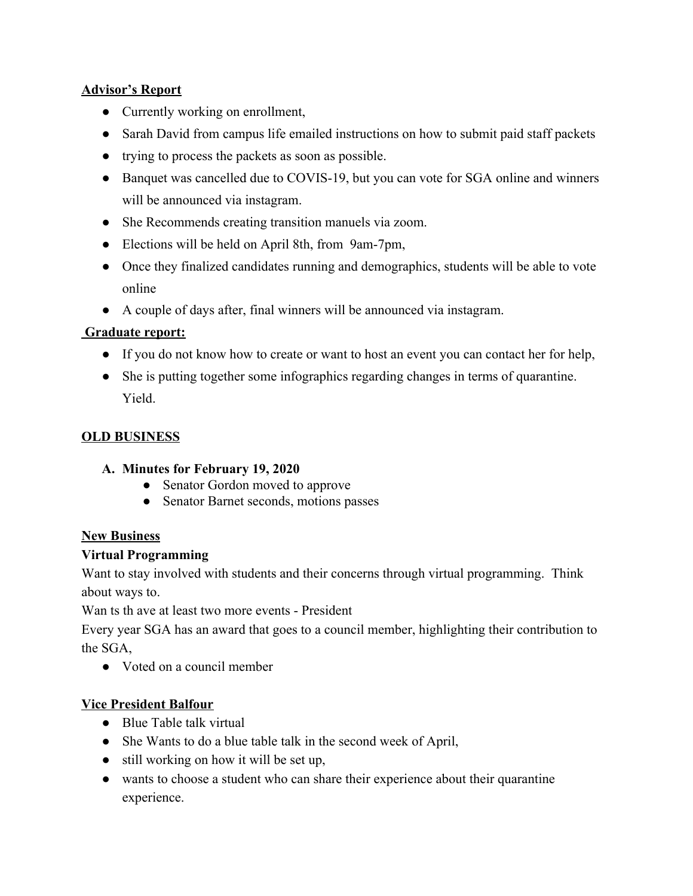## **Advisor's Report**

- Currently working on enrollment,
- Sarah David from campus life emailed instructions on how to submit paid staff packets
- trying to process the packets as soon as possible.
- Banquet was cancelled due to COVIS-19, but you can vote for SGA online and winners will be announced via instagram.
- She Recommends creating transition manuels via zoom.
- Elections will be held on April 8th, from 9am-7pm,
- Once they finalized candidates running and demographics, students will be able to vote online
- A couple of days after, final winners will be announced via instagram.

# **Graduate report:**

- If you do not know how to create or want to host an event you can contact her for help,
- She is putting together some infographics regarding changes in terms of quarantine. Yield.

# **OLD BUSINESS**

# **A. Minutes for February 19, 2020**

- Senator Gordon moved to approve
- Senator Barnet seconds, motions passes

# **New Business**

# **Virtual Programming**

Want to stay involved with students and their concerns through virtual programming. Think about ways to.

Wan ts th ave at least two more events - President

Every year SGA has an award that goes to a council member, highlighting their contribution to the SGA,

● Voted on a council member

# **Vice President Balfour**

- Blue Table talk virtual
- She Wants to do a blue table talk in the second week of April,
- still working on how it will be set up,
- wants to choose a student who can share their experience about their quarantine experience.